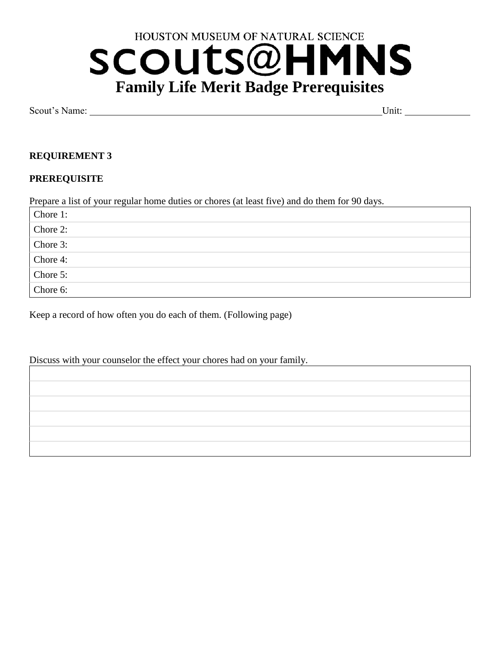# HOUSTON MUSEUM OF NATURAL SCIENCE SCOUTS@HI **MNS Family Life Merit Badge Prerequisites**

Scout's Name: Unit:

## **REQUIREMENT 3**

#### **PREREQUISITE**

Prepare a list of your regular home duties or chores (at least five) and do them for 90 days.

| Chore 1:   |
|------------|
| Chore 2:   |
| Chore $3:$ |
| Chore 4:   |
| Chore 5:   |
| Chore 6:   |

Keep a record of how often you do each of them. (Following page)

Discuss with your counselor the effect your chores had on your family.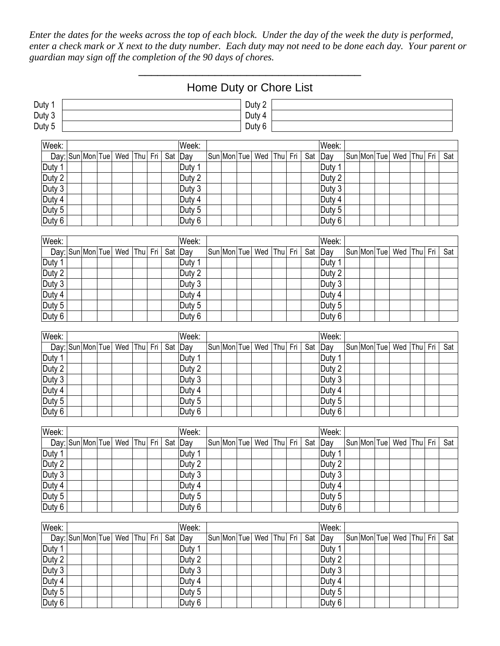*Enter the dates for the weeks across the top of each block. Under the day of the week the duty is performed, enter a check mark or X next to the duty number. Each duty may not need to be done each day. Your parent or guardian may sign off the completion of the 90 days of chores.* 

\_\_\_\_\_\_\_\_\_\_\_\_\_\_\_\_\_\_\_\_\_\_\_\_\_\_\_\_\_\_\_\_\_\_\_

|                  | Home Duty or Chore List |  |  |                              |         |  |         |                  |  |             |                         |         |     |         |                               |  |             |  |                               |     |     |     |
|------------------|-------------------------|--|--|------------------------------|---------|--|---------|------------------|--|-------------|-------------------------|---------|-----|---------|-------------------------------|--|-------------|--|-------------------------------|-----|-----|-----|
| Duty 1           | Duty 2                  |  |  |                              |         |  |         |                  |  |             |                         |         |     |         |                               |  |             |  |                               |     |     |     |
| Duty 3           | Duty 4                  |  |  |                              |         |  |         |                  |  |             |                         |         |     |         |                               |  |             |  |                               |     |     |     |
| Duty 5           | Duty 6                  |  |  |                              |         |  |         |                  |  |             |                         |         |     |         |                               |  |             |  |                               |     |     |     |
| Week:            | Week:<br>Week:          |  |  |                              |         |  |         |                  |  |             |                         |         |     |         |                               |  |             |  |                               |     |     |     |
| Day: Sun Mon Tue |                         |  |  | Wed                          | Thu Fri |  | Sat     | Day              |  | Sun Mon Tue | Wed                     | Thu     | Fri | Sat Day |                               |  | Sun Mon Tue |  | Wed                           | Thu | Fri | Sat |
| Duty 1           |                         |  |  |                              |         |  |         | Duty 1           |  |             |                         |         |     |         | Duty 1                        |  |             |  |                               |     |     |     |
| Duty 2           |                         |  |  |                              |         |  |         | Duty 2           |  |             |                         |         |     |         | Duty 2                        |  |             |  |                               |     |     |     |
| Duty 3           |                         |  |  |                              |         |  |         | Duty 3           |  |             |                         |         |     |         | Duty 3                        |  |             |  |                               |     |     |     |
| Duty 4           |                         |  |  |                              |         |  |         | Duty 4           |  |             |                         |         |     |         | Duty 4                        |  |             |  |                               |     |     |     |
| Duty 5           |                         |  |  |                              |         |  |         | Duty 5           |  |             |                         |         |     |         | Duty 5                        |  |             |  |                               |     |     |     |
| Duty 6           |                         |  |  |                              |         |  |         | Duty 6           |  |             |                         |         |     |         | Duty 6                        |  |             |  |                               |     |     |     |
|                  |                         |  |  |                              |         |  |         |                  |  |             |                         |         |     |         |                               |  |             |  |                               |     |     |     |
| Week:            |                         |  |  |                              |         |  |         | Week:            |  |             |                         |         |     |         | Week:                         |  |             |  |                               |     |     |     |
| Day: Sun Mon Tue |                         |  |  | Wed                          | Thu Fri |  | Sat     | Day              |  | Sun Mon Tue | Wed                     | Thu     | Fri |         | Sat Day                       |  | Sun Mon Tue |  | Wed Thu                       |     | Fri | Sat |
| Duty 1           |                         |  |  |                              |         |  |         | Duty 1           |  |             |                         |         |     |         | Duty 1                        |  |             |  |                               |     |     |     |
| Duty 2           |                         |  |  |                              |         |  |         | Duty 2           |  |             |                         |         |     |         | Duty 2                        |  |             |  |                               |     |     |     |
| Duty 3           |                         |  |  |                              |         |  |         | Duty 3           |  |             |                         |         |     |         | Duty 3                        |  |             |  |                               |     |     |     |
| Duty 4           |                         |  |  |                              |         |  |         | Duty 4           |  |             |                         |         |     |         | Duty 4                        |  |             |  |                               |     |     |     |
| Duty 5<br>Duty 6 |                         |  |  |                              |         |  |         | Duty 5<br>Duty 6 |  |             |                         |         |     |         | Duty $\overline{5}$<br>Duty 6 |  |             |  |                               |     |     |     |
|                  |                         |  |  |                              |         |  |         |                  |  |             |                         |         |     |         |                               |  |             |  |                               |     |     |     |
| Week:            |                         |  |  |                              |         |  |         | Week:            |  |             |                         |         |     |         | Week:                         |  |             |  |                               |     |     |     |
| Day: Sun Mon Tue |                         |  |  | Wed                          | Thu Fri |  | Sat Day |                  |  | Sun Mon Tue | Wed                     | Thu     | Fri | Sat Day |                               |  | Sun Mon Tue |  | Wed Thu                       |     | Fri | Sat |
| Duty 1           |                         |  |  |                              |         |  |         | Duty 1           |  |             |                         |         |     |         | Duty 1                        |  |             |  |                               |     |     |     |
| Duty 2           |                         |  |  |                              |         |  |         | Duty 2           |  |             |                         |         |     |         | Duty 2                        |  |             |  |                               |     |     |     |
| Duty 3           |                         |  |  |                              |         |  |         | Duty 3           |  |             |                         |         |     |         | Duty 3                        |  |             |  |                               |     |     |     |
| Duty 4           |                         |  |  |                              |         |  |         | Duty 4           |  |             |                         |         |     |         | Duty 4                        |  |             |  |                               |     |     |     |
| Duty 5           |                         |  |  |                              |         |  |         | Duty 5           |  |             |                         |         |     |         | Duty 5                        |  |             |  |                               |     |     |     |
| Duty 6           |                         |  |  |                              |         |  |         | Duty 6           |  |             |                         |         |     |         | Duty 6                        |  |             |  |                               |     |     |     |
| Week:            |                         |  |  |                              |         |  |         | Week:            |  |             |                         |         |     |         | Week:                         |  |             |  |                               |     |     |     |
|                  |                         |  |  | Day: Sun Mon Tue Wed Thu Fri |         |  |         | Sat Day          |  |             | Sun Mon Tue Wed Thu Fri |         |     |         | Sat Day                       |  |             |  | Sun Mon Tue   Wed   Thu   Fri |     |     | Sat |
| Duty 1           |                         |  |  |                              |         |  |         | Duty 1           |  |             |                         |         |     |         | Duty 1                        |  |             |  |                               |     |     |     |
| Duty 2           |                         |  |  |                              |         |  |         | Duty 2           |  |             |                         |         |     |         | Duty <sub>2</sub>             |  |             |  |                               |     |     |     |
| Duty 3           |                         |  |  |                              |         |  |         | Duty 3           |  |             |                         |         |     |         | Duty 3                        |  |             |  |                               |     |     |     |
| Duty 4           |                         |  |  |                              |         |  |         | Duty 4           |  |             |                         |         |     |         | Duty 4                        |  |             |  |                               |     |     |     |
| Duty 5           |                         |  |  |                              |         |  |         | Duty 5           |  |             |                         |         |     |         | Duty 5                        |  |             |  |                               |     |     |     |
| Duty 6           |                         |  |  |                              |         |  |         | Duty 6           |  |             |                         |         |     |         | Duty 6                        |  |             |  |                               |     |     |     |
|                  |                         |  |  |                              |         |  |         |                  |  |             |                         |         |     |         |                               |  |             |  |                               |     |     |     |
| Week:            |                         |  |  |                              |         |  |         | Week:            |  |             |                         |         |     |         | Week:                         |  |             |  |                               |     |     |     |
| Day: Sun Mon Tue |                         |  |  | Wed                          | Thu Fri |  |         | Sat Day          |  | Sun Mon Tue | Wed                     | Thu Fri |     |         | Sat Day                       |  | Sun Mon Tue |  | Wed Thu                       |     | Fri | Sat |
| Duty 1           |                         |  |  |                              |         |  |         | Duty 1           |  |             |                         |         |     |         | Duty 1                        |  |             |  |                               |     |     |     |
| Duty 2           |                         |  |  |                              |         |  |         | Duty 2           |  |             |                         |         |     |         | Duty 2                        |  |             |  |                               |     |     |     |
| Duty $3$         |                         |  |  |                              |         |  |         | Duty 3           |  |             |                         |         |     |         | Duty 3                        |  |             |  |                               |     |     |     |
| Duty 4           |                         |  |  |                              |         |  |         | Duty 4<br>Duty 5 |  |             |                         |         |     |         | Duty 4<br>Duty 5              |  |             |  |                               |     |     |     |
| Duty 5<br>Duty 6 |                         |  |  |                              |         |  |         | Duty 6           |  |             |                         |         |     |         | Duty 6                        |  |             |  |                               |     |     |     |
|                  |                         |  |  |                              |         |  |         |                  |  |             |                         |         |     |         |                               |  |             |  |                               |     |     |     |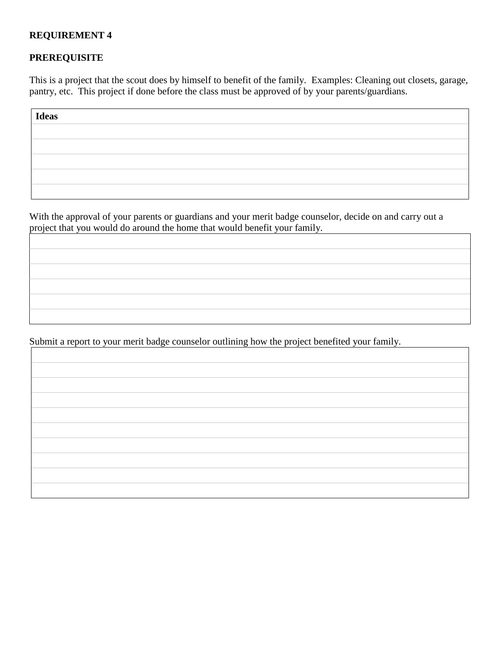#### **REQUIREMENT 4**

# **PREREQUISITE**

This is a project that the scout does by himself to benefit of the family. Examples: Cleaning out closets, garage, pantry, etc. This project if done before the class must be approved of by your parents/guardians.

| <b>Ideas</b> |  |  |  |
|--------------|--|--|--|
|              |  |  |  |
|              |  |  |  |
|              |  |  |  |
|              |  |  |  |
|              |  |  |  |

With the approval of your parents or guardians and your merit badge counselor, decide on and carry out a project that you would do around the home that would benefit your family.

Submit a report to your merit badge counselor outlining how the project benefited your family.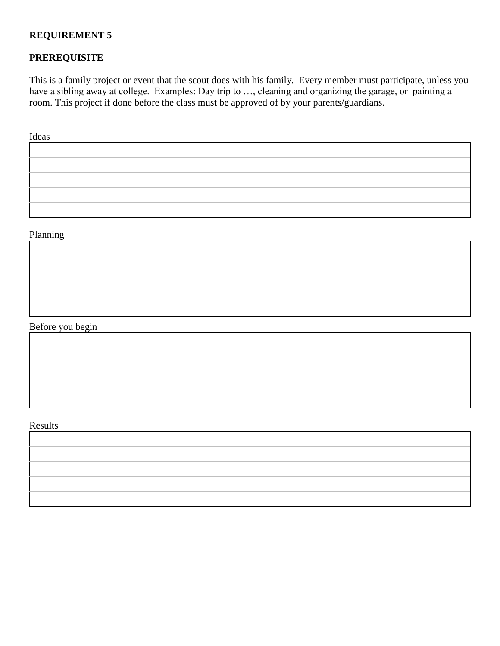## **REQUIREMENT 5**

# **PREREQUISITE**

This is a family project or event that the scout does with his family. Every member must participate, unless you have a sibling away at college. Examples: Day trip to ..., cleaning and organizing the garage, or painting a room. This project if done before the class must be approved of by your parents/guardians.

Ideas

#### Planning

# Before you begin

#### Results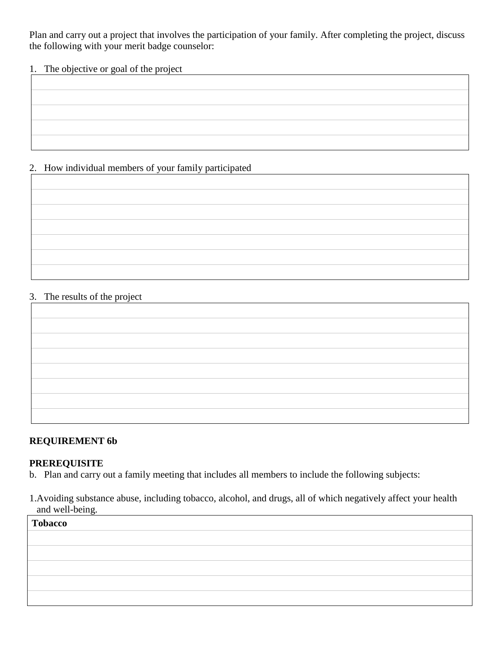Plan and carry out a project that involves the participation of your family. After completing the project, discuss the following with your merit badge counselor:

#### 1. The objective or goal of the project

# 2. How individual members of your family participated

#### 3. The results of the project

# **REQUIREMENT 6b**

#### **PREREQUISITE**

- b. Plan and carry out a family meeting that includes all members to include the following subjects:
- 1.Avoiding substance abuse, including tobacco, alcohol, and drugs, all of which negatively affect your health and well-being.

| <b>Tobacco</b> |  |
|----------------|--|
|                |  |
|                |  |
|                |  |
|                |  |
|                |  |
|                |  |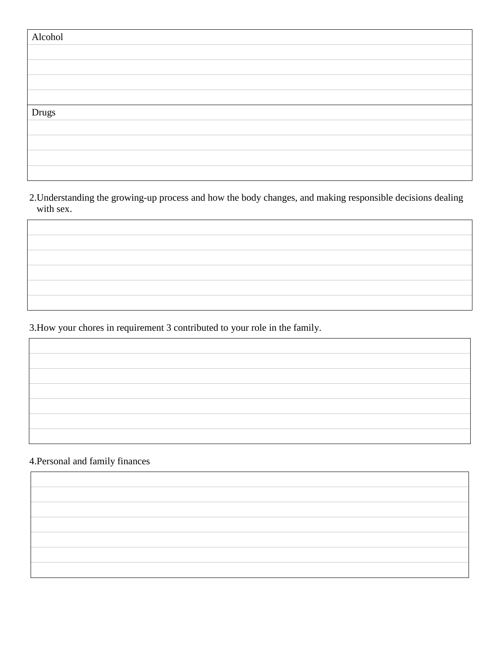| Alcohol |  |
|---------|--|
|         |  |
|         |  |
|         |  |
|         |  |
| Drugs   |  |
|         |  |
|         |  |
|         |  |
|         |  |

2.Understanding the growing-up process and how the body changes, and making responsible decisions dealing with sex.

3.How your chores in requirement 3 contributed to your role in the family.

## 4.Personal and family finances